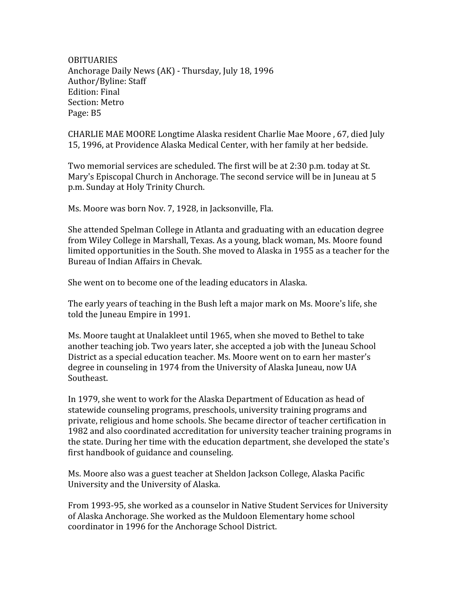**OBITUARIES** Anchorage
Daily
News
(AK)
‐
Thursday,
July
18,
1996 Author/Byline:
Staff Edition:
Final Section:
Metro Page:
B5

CHARLIE
MAE
MOORE
Longtime
Alaska
resident
Charlie
Mae
Moore
,
67,
died
July 15,
1996,
at
Providence
Alaska
Medical
Center,
with
her
family
at
her
bedside.

Two
memorial
services
are
scheduled.
The
first
will
be
at
2:30
p.m.
today at
St. Mary's Episcopal Church in Anchorage. The second service will be in Juneau at 5 p.m.
Sunday
at
Holy
Trinity
Church.

Ms. Moore was born Nov. 7, 1928, in Jacksonville, Fla.

She
attended
Spelman
College
in
Atlanta
and
graduating
with
an
education
degree from Wiley College in Marshall, Texas. As a young, black woman, Ms. Moore found limited opportunities in the South. She moved to Alaska in 1955 as a teacher for the Bureau
of
Indian
Affairs
in
Chevak.

She
went
on
to
become
one
of
the
leading
educators
in
Alaska.

The
early
years
of
teaching
in
the
Bush
left
a
major
mark
on
Ms.
Moore's
life,
she told
the
Juneau
Empire
in
1991.

Ms. Moore taught at Unalakleet until 1965, when she moved to Bethel to take another teaching job. Two years later, she accepted a job with the Juneau School District
as
a
special
education
teacher.
Ms.
Moore
went
on
to
earn
her
master's degree
in
counseling
in
1974
from
the
University
of
Alaska
Juneau,
now
UA Southeast.

In
1979,
she
went
to
work
for
the
Alaska
Department
of
Education
as
head
of statewide counseling programs, preschools, university training programs and private,
religious
and
home
schools.
She
became
director
of
teacher
certification
in 1982
and
also
coordinated
accreditation
for
university
teacher
training
programs
in the
state.
During
her
time
with
the
education
department,
she
developed
the
state's first
handbook
of
guidance
and
counseling.

Ms.
Moore
also
was
a
guest
teacher
at
Sheldon
Jackson
College,
Alaska
Pacific University
and
the
University
of
Alaska.

From
1993‐95,
she
worked
as
a
counselor
in
Native
Student
Services
for
University of
Alaska
Anchorage.
She
worked
as
the
Muldoon
Elementary
home
school coordinator
in
1996
for
the
Anchorage
School
District.